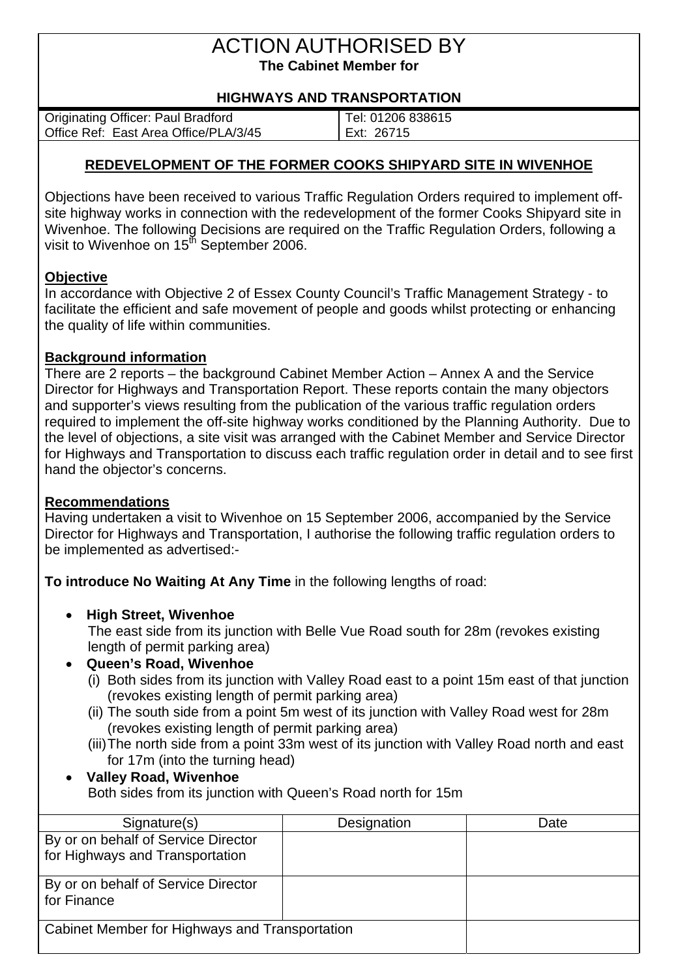# ACTION AUTHORISED BY **The Cabinet Member for**

### **HIGHWAYS AND TRANSPORTATION**

| <b>Originating Officer: Paul Bradford</b> | Tel: 01206 838615 |
|-------------------------------------------|-------------------|
| Office Ref: East Area Office/PLA/3/45     | Ext: 26715        |

### **REDEVELOPMENT OF THE FORMER COOKS SHIPYARD SITE IN WIVENHOE**

Objections have been received to various Traffic Regulation Orders required to implement offsite highway works in connection with the redevelopment of the former Cooks Shipyard site in Wivenhoe. The following Decisions are required on the Traffic Regulation Orders, following a visit to Wivenhoe on 15<sup>th</sup> September 2006.

### **Objective**

In accordance with Objective 2 of Essex County Council's Traffic Management Strategy - to facilitate the efficient and safe movement of people and goods whilst protecting or enhancing the quality of life within communities.

### **Background information**

There are 2 reports – the background Cabinet Member Action – Annex A and the Service Director for Highways and Transportation Report. These reports contain the many objectors and supporter's views resulting from the publication of the various traffic regulation orders required to implement the off-site highway works conditioned by the Planning Authority. Due to the level of objections, a site visit was arranged with the Cabinet Member and Service Director for Highways and Transportation to discuss each traffic regulation order in detail and to see first hand the objector's concerns.

### **Recommendations**

Having undertaken a visit to Wivenhoe on 15 September 2006, accompanied by the Service Director for Highways and Transportation, I authorise the following traffic regulation orders to be implemented as advertised:-

**To introduce No Waiting At Any Time** in the following lengths of road:

### • **High Street, Wivenhoe**

The east side from its junction with Belle Vue Road south for 28m (revokes existing length of permit parking area)

### • **Queen's Road, Wivenhoe**

- (i) Both sides from its junction with Valley Road east to a point 15m east of that junction (revokes existing length of permit parking area)
- (ii) The south side from a point 5m west of its junction with Valley Road west for 28m (revokes existing length of permit parking area)
- (iii) The north side from a point 33m west of its junction with Valley Road north and east for 17m (into the turning head)

#### • **Valley Road, Wivenhoe**  Both sides from its junction with Queen's Road north for 15m

| Signature(s)                                                           | Designation | Date |
|------------------------------------------------------------------------|-------------|------|
| By or on behalf of Service Director<br>for Highways and Transportation |             |      |
| By or on behalf of Service Director<br>for Finance                     |             |      |
| Cabinet Member for Highways and Transportation                         |             |      |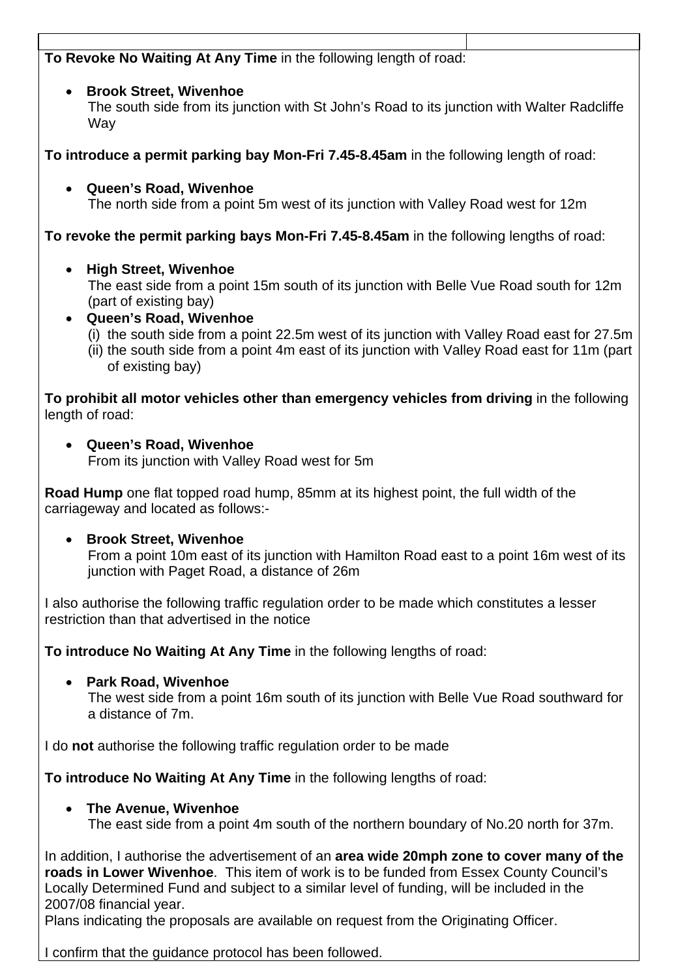### **To Revoke No Waiting At Any Time** in the following length of road:

### • **Brook Street, Wivenhoe**

The south side from its junction with St John's Road to its junction with Walter Radcliffe **Wav** 

**To introduce a permit parking bay Mon-Fri 7.45-8.45am** in the following length of road:

• **Queen's Road, Wivenhoe** 

The north side from a point 5m west of its junction with Valley Road west for 12m

**To revoke the permit parking bays Mon-Fri 7.45-8.45am** in the following lengths of road:

### • **High Street, Wivenhoe**

The east side from a point 15m south of its junction with Belle Vue Road south for 12m (part of existing bay)

- **Queen's Road, Wivenhoe** 
	- (i) the south side from a point 22.5m west of its junction with Valley Road east for 27.5m
	- (ii) the south side from a point 4m east of its junction with Valley Road east for 11m (part of existing bay)

**To prohibit all motor vehicles other than emergency vehicles from driving** in the following length of road:

• **Queen's Road, Wivenhoe**  From its junction with Valley Road west for 5m

**Road Hump** one flat topped road hump, 85mm at its highest point, the full width of the carriageway and located as follows:-

• **Brook Street, Wivenhoe**

From a point 10m east of its junction with Hamilton Road east to a point 16m west of its junction with Paget Road, a distance of 26m

I also authorise the following traffic regulation order to be made which constitutes a lesser restriction than that advertised in the notice

**To introduce No Waiting At Any Time** in the following lengths of road:

• **Park Road, Wivenhoe** 

The west side from a point 16m south of its junction with Belle Vue Road southward for a distance of 7m.

I do **not** authorise the following traffic regulation order to be made

**To introduce No Waiting At Any Time** in the following lengths of road:

### • **The Avenue, Wivenhoe**

The east side from a point 4m south of the northern boundary of No.20 north for 37m.

In addition, I authorise the advertisement of an **area wide 20mph zone to cover many of the roads in Lower Wivenhoe**. This item of work is to be funded from Essex County Council's Locally Determined Fund and subject to a similar level of funding, will be included in the 2007/08 financial year.

Plans indicating the proposals are available on request from the Originating Officer.

I confirm that the guidance protocol has been followed.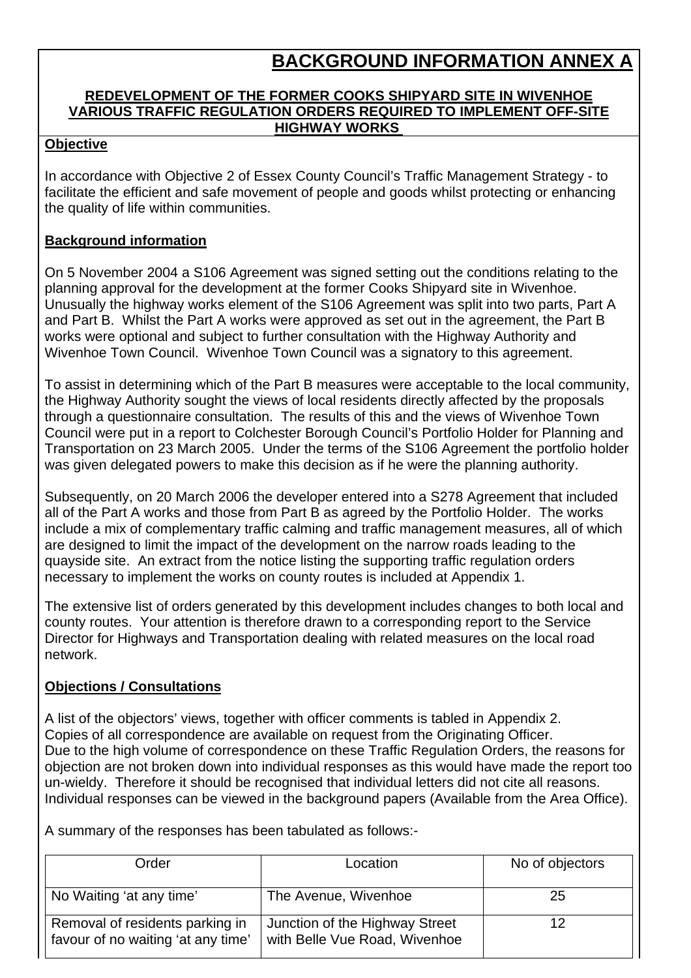### **BACKGROUND INFORMATION ANNEX A**

### **REDEVELOPMENT OF THE FORMER COOKS SHIPYARD SITE IN WIVENHOE VARIOUS TRAFFIC REGULATION ORDERS REQUIRED TO IMPLEMENT OFF-SITE HIGHWAY WORKS**

### **Objective**

In accordance with Objective 2 of Essex County Council's Traffic Management Strategy - to facilitate the efficient and safe movement of people and goods whilst protecting or enhancing the quality of life within communities.

### **Background information**

On 5 November 2004 a S106 Agreement was signed setting out the conditions relating to the planning approval for the development at the former Cooks Shipyard site in Wivenhoe. Unusually the highway works element of the S106 Agreement was split into two parts, Part A and Part B. Whilst the Part A works were approved as set out in the agreement, the Part B works were optional and subject to further consultation with the Highway Authority and Wivenhoe Town Council. Wivenhoe Town Council was a signatory to this agreement.

To assist in determining which of the Part B measures were acceptable to the local community, the Highway Authority sought the views of local residents directly affected by the proposals through a questionnaire consultation. The results of this and the views of Wivenhoe Town Council were put in a report to Colchester Borough Council's Portfolio Holder for Planning and Transportation on 23 March 2005. Under the terms of the S106 Agreement the portfolio holder was given delegated powers to make this decision as if he were the planning authority.

Subsequently, on 20 March 2006 the developer entered into a S278 Agreement that included all of the Part A works and those from Part B as agreed by the Portfolio Holder. The works include a mix of complementary traffic calming and traffic management measures, all of which are designed to limit the impact of the development on the narrow roads leading to the quayside site. An extract from the notice listing the supporting traffic regulation orders necessary to implement the works on county routes is included at Appendix 1.

The extensive list of orders generated by this development includes changes to both local and county routes. Your attention is therefore drawn to a corresponding report to the Service Director for Highways and Transportation dealing with related measures on the local road network.

### **Objections / Consultations**

A list of the objectors' views, together with officer comments is tabled in Appendix 2. Copies of all correspondence are available on request from the Originating Officer. Due to the high volume of correspondence on these Traffic Regulation Orders, the reasons for objection are not broken down into individual responses as this would have made the report too un-wieldy. Therefore it should be recognised that individual letters did not cite all reasons. Individual responses can be viewed in the background papers (Available from the Area Office).

A summary of the responses has been tabulated as follows:-

| Order                                                                 | Location                                                        | No of objectors |
|-----------------------------------------------------------------------|-----------------------------------------------------------------|-----------------|
| No Waiting 'at any time'                                              | The Avenue, Wivenhoe                                            | 25              |
| Removal of residents parking in<br>favour of no waiting 'at any time' | Junction of the Highway Street<br>with Belle Vue Road, Wivenhoe | 12              |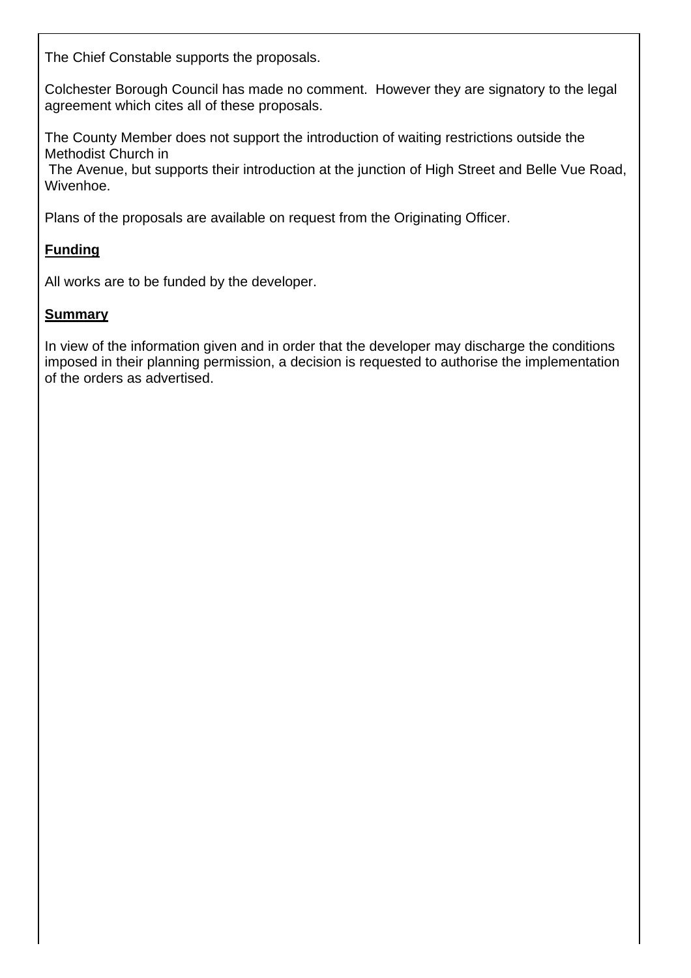The Chief Constable supports the proposals.

Colchester Borough Council has made no comment. However they are signatory to the legal agreement which cites all of these proposals.

The County Member does not support the introduction of waiting restrictions outside the Methodist Church in

 The Avenue, but supports their introduction at the junction of High Street and Belle Vue Road, Wivenhoe.

Plans of the proposals are available on request from the Originating Officer.

### **Funding**

All works are to be funded by the developer.

### **Summary**

In view of the information given and in order that the developer may discharge the conditions imposed in their planning permission, a decision is requested to authorise the implementation of the orders as advertised.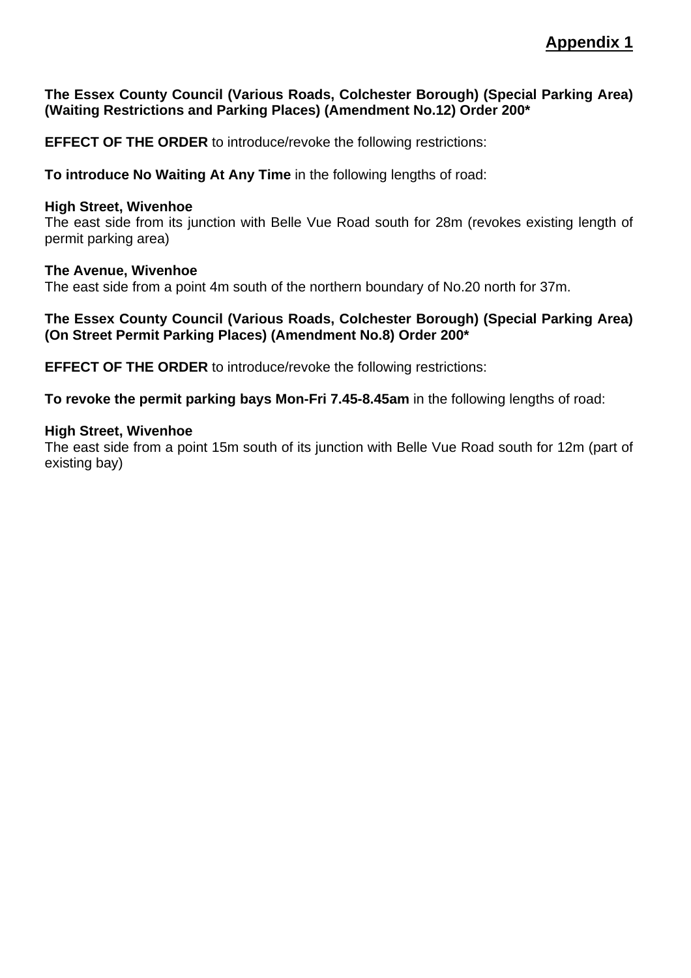### **The Essex County Council (Various Roads, Colchester Borough) (Special Parking Area) (Waiting Restrictions and Parking Places) (Amendment No.12) Order 200\***

**EFFECT OF THE ORDER** to introduce/revoke the following restrictions:

**To introduce No Waiting At Any Time** in the following lengths of road:

#### **High Street, Wivenhoe**

The east side from its junction with Belle Vue Road south for 28m (revokes existing length of permit parking area)

#### **The Avenue, Wivenhoe**

The east side from a point 4m south of the northern boundary of No.20 north for 37m.

#### **The Essex County Council (Various Roads, Colchester Borough) (Special Parking Area) (On Street Permit Parking Places) (Amendment No.8) Order 200\***

**EFFECT OF THE ORDER** to introduce/revoke the following restrictions:

**To revoke the permit parking bays Mon-Fri 7.45-8.45am** in the following lengths of road:

#### **High Street, Wivenhoe**

The east side from a point 15m south of its junction with Belle Vue Road south for 12m (part of existing bay)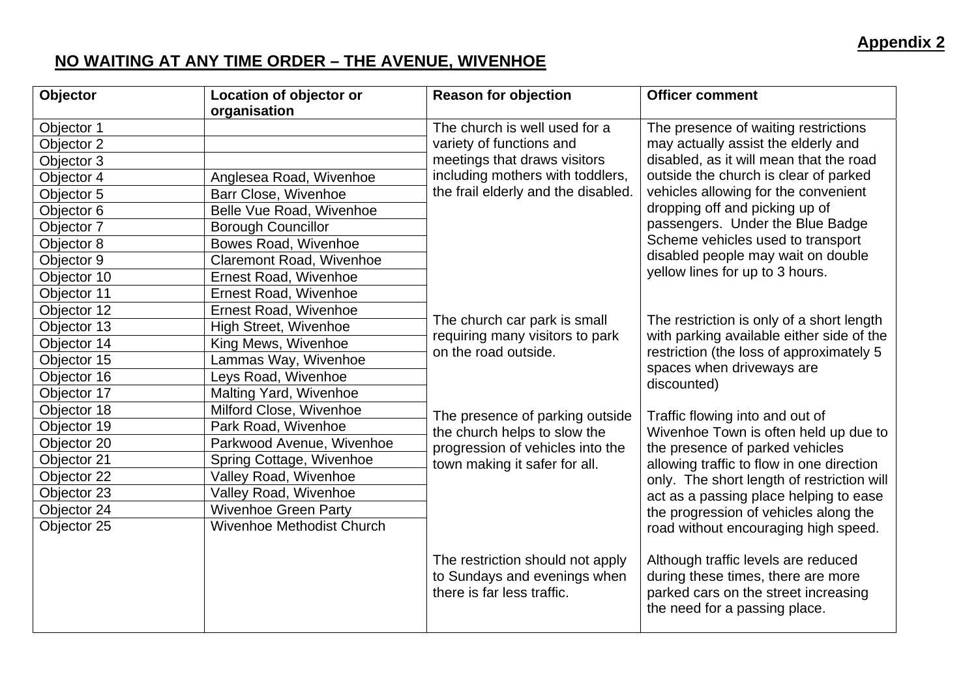### **NO WAITING AT ANY TIME ORDER – THE AVENUE, WIVENHOE**

| Objector    | Location of objector or          | <b>Reason for objection</b>                                     | <b>Officer comment</b>                                                                                             |
|-------------|----------------------------------|-----------------------------------------------------------------|--------------------------------------------------------------------------------------------------------------------|
|             | organisation                     |                                                                 |                                                                                                                    |
| Objector 1  |                                  | The church is well used for a                                   | The presence of waiting restrictions                                                                               |
| Objector 2  |                                  | variety of functions and                                        | may actually assist the elderly and                                                                                |
| Objector 3  |                                  | meetings that draws visitors                                    | disabled, as it will mean that the road                                                                            |
| Objector 4  | Anglesea Road, Wivenhoe          | including mothers with toddlers,                                | outside the church is clear of parked                                                                              |
| Objector 5  | Barr Close, Wivenhoe             | the frail elderly and the disabled.                             | vehicles allowing for the convenient                                                                               |
| Objector 6  | Belle Vue Road, Wivenhoe         |                                                                 | dropping off and picking up of                                                                                     |
| Objector 7  | <b>Borough Councillor</b>        |                                                                 | passengers. Under the Blue Badge                                                                                   |
| Objector 8  | Bowes Road, Wivenhoe             |                                                                 | Scheme vehicles used to transport                                                                                  |
| Objector 9  | Claremont Road, Wivenhoe         |                                                                 | disabled people may wait on double                                                                                 |
| Objector 10 | <b>Ernest Road, Wivenhoe</b>     |                                                                 | yellow lines for up to 3 hours.                                                                                    |
| Objector 11 | Ernest Road, Wivenhoe            |                                                                 |                                                                                                                    |
| Objector 12 | Ernest Road, Wivenhoe            |                                                                 |                                                                                                                    |
| Objector 13 | <b>High Street, Wivenhoe</b>     | The church car park is small<br>requiring many visitors to park | The restriction is only of a short length                                                                          |
| Objector 14 | King Mews, Wivenhoe              | on the road outside.                                            | with parking available either side of the<br>restriction (the loss of approximately 5<br>spaces when driveways are |
| Objector 15 | Lammas Way, Wivenhoe             |                                                                 |                                                                                                                    |
| Objector 16 | Leys Road, Wivenhoe              |                                                                 | discounted)                                                                                                        |
| Objector 17 | Malting Yard, Wivenhoe           |                                                                 |                                                                                                                    |
| Objector 18 | Milford Close, Wivenhoe          | The presence of parking outside                                 | Traffic flowing into and out of                                                                                    |
| Objector 19 | Park Road, Wivenhoe              | the church helps to slow the                                    | Wivenhoe Town is often held up due to                                                                              |
| Objector 20 | Parkwood Avenue, Wivenhoe        | progression of vehicles into the                                | the presence of parked vehicles                                                                                    |
| Objector 21 | Spring Cottage, Wivenhoe         | town making it safer for all.                                   | allowing traffic to flow in one direction                                                                          |
| Objector 22 | Valley Road, Wivenhoe            |                                                                 | only. The short length of restriction will                                                                         |
| Objector 23 | Valley Road, Wivenhoe            |                                                                 | act as a passing place helping to ease                                                                             |
| Objector 24 | <b>Wivenhoe Green Party</b>      |                                                                 | the progression of vehicles along the                                                                              |
| Objector 25 | <b>Wivenhoe Methodist Church</b> |                                                                 | road without encouraging high speed.                                                                               |
|             |                                  |                                                                 |                                                                                                                    |
|             |                                  | The restriction should not apply                                | Although traffic levels are reduced                                                                                |
|             |                                  | to Sundays and evenings when                                    | during these times, there are more                                                                                 |
|             |                                  | there is far less traffic.                                      | parked cars on the street increasing                                                                               |
|             |                                  |                                                                 | the need for a passing place.                                                                                      |
|             |                                  |                                                                 |                                                                                                                    |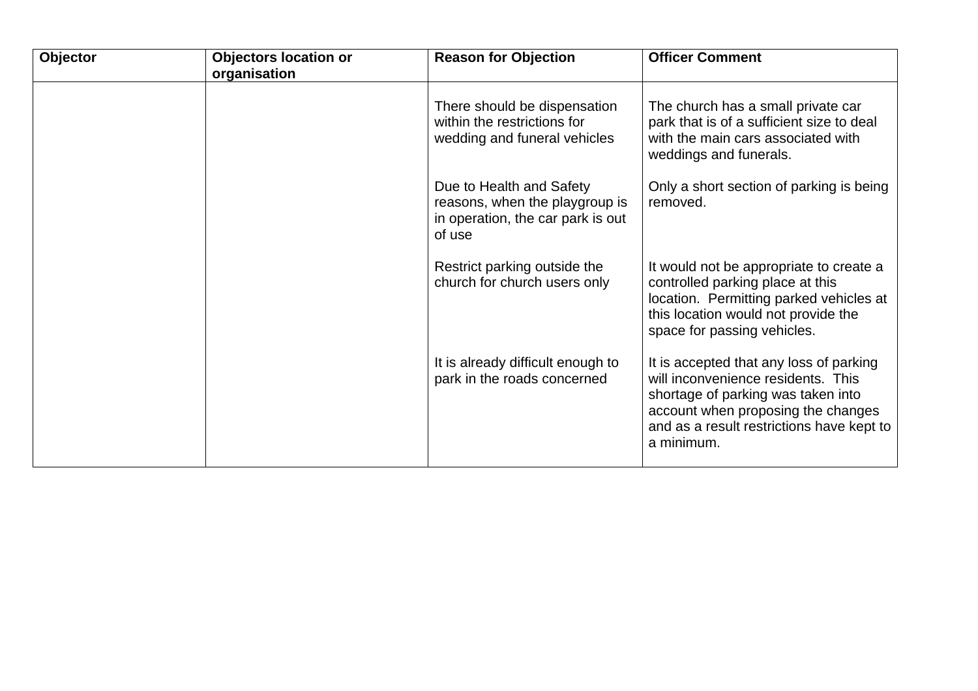| Objector | <b>Objectors location or</b><br>organisation | <b>Reason for Objection</b>                                                                               | <b>Officer Comment</b>                                                                                                                                                                                               |
|----------|----------------------------------------------|-----------------------------------------------------------------------------------------------------------|----------------------------------------------------------------------------------------------------------------------------------------------------------------------------------------------------------------------|
|          |                                              | There should be dispensation<br>within the restrictions for<br>wedding and funeral vehicles               | The church has a small private car<br>park that is of a sufficient size to deal<br>with the main cars associated with<br>weddings and funerals.                                                                      |
|          |                                              | Due to Health and Safety<br>reasons, when the playgroup is<br>in operation, the car park is out<br>of use | Only a short section of parking is being<br>removed.                                                                                                                                                                 |
|          |                                              | Restrict parking outside the<br>church for church users only                                              | It would not be appropriate to create a<br>controlled parking place at this<br>location. Permitting parked vehicles at<br>this location would not provide the<br>space for passing vehicles.                         |
|          |                                              | It is already difficult enough to<br>park in the roads concerned                                          | It is accepted that any loss of parking<br>will inconvenience residents. This<br>shortage of parking was taken into<br>account when proposing the changes<br>and as a result restrictions have kept to<br>a minimum. |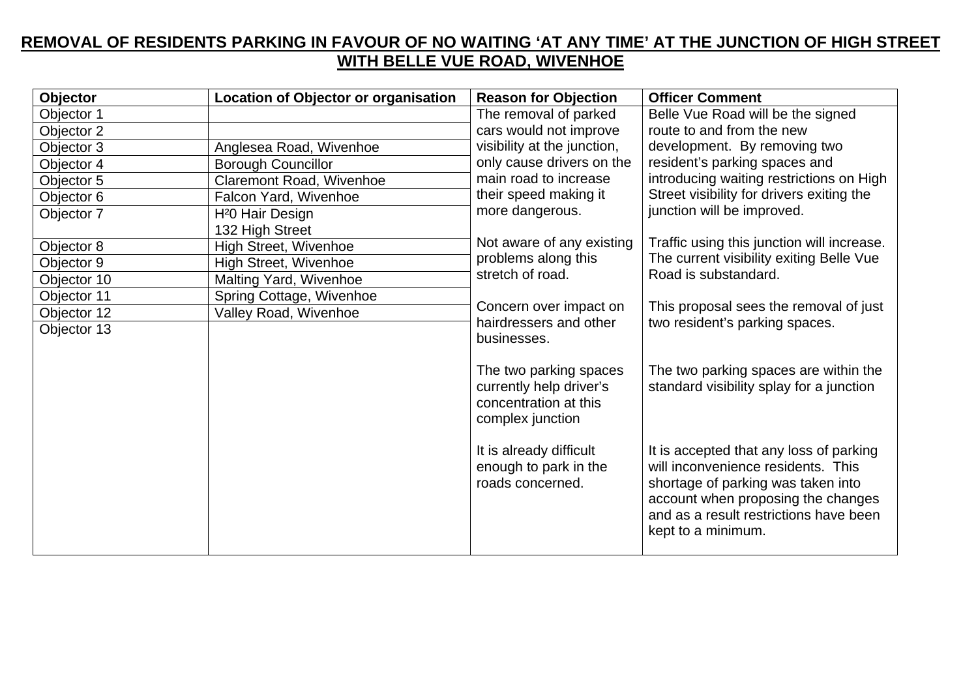### **REMOVAL OF RESIDENTS PARKING IN FAVOUR OF NO WAITING 'AT ANY TIME' AT THE JUNCTION OF HIGH STREET WITH BELLE VUE ROAD, WIVENHOE**

| Objector    | Location of Objector or organisation | <b>Reason for Objection</b>                                                                    | <b>Officer Comment</b>                                                                                                                                                                                                    |
|-------------|--------------------------------------|------------------------------------------------------------------------------------------------|---------------------------------------------------------------------------------------------------------------------------------------------------------------------------------------------------------------------------|
| Objector 1  |                                      | The removal of parked                                                                          | Belle Vue Road will be the signed                                                                                                                                                                                         |
| Objector 2  |                                      | cars would not improve                                                                         | route to and from the new                                                                                                                                                                                                 |
| Objector 3  | Anglesea Road, Wivenhoe              | visibility at the junction,                                                                    | development. By removing two                                                                                                                                                                                              |
| Objector 4  | <b>Borough Councillor</b>            | only cause drivers on the                                                                      | resident's parking spaces and                                                                                                                                                                                             |
| Objector 5  | Claremont Road, Wivenhoe             | main road to increase                                                                          | introducing waiting restrictions on High                                                                                                                                                                                  |
| Objector 6  | Falcon Yard, Wivenhoe                | their speed making it                                                                          | Street visibility for drivers exiting the                                                                                                                                                                                 |
| Objector 7  | H <sup>2</sup> 0 Hair Design         | more dangerous.                                                                                | junction will be improved.                                                                                                                                                                                                |
|             | 132 High Street                      |                                                                                                |                                                                                                                                                                                                                           |
| Objector 8  | <b>High Street, Wivenhoe</b>         | Not aware of any existing                                                                      | Traffic using this junction will increase.                                                                                                                                                                                |
| Objector 9  | <b>High Street, Wivenhoe</b>         | problems along this                                                                            | The current visibility exiting Belle Vue                                                                                                                                                                                  |
| Objector 10 | Malting Yard, Wivenhoe               | stretch of road.                                                                               | Road is substandard.                                                                                                                                                                                                      |
| Objector 11 | Spring Cottage, Wivenhoe             |                                                                                                |                                                                                                                                                                                                                           |
| Objector 12 | Valley Road, Wivenhoe                | Concern over impact on                                                                         | This proposal sees the removal of just                                                                                                                                                                                    |
| Objector 13 |                                      | hairdressers and other                                                                         | two resident's parking spaces.                                                                                                                                                                                            |
|             |                                      | businesses.                                                                                    |                                                                                                                                                                                                                           |
|             |                                      | The two parking spaces<br>currently help driver's<br>concentration at this<br>complex junction | The two parking spaces are within the<br>standard visibility splay for a junction                                                                                                                                         |
|             |                                      | It is already difficult<br>enough to park in the<br>roads concerned.                           | It is accepted that any loss of parking<br>will inconvenience residents. This<br>shortage of parking was taken into<br>account when proposing the changes<br>and as a result restrictions have been<br>kept to a minimum. |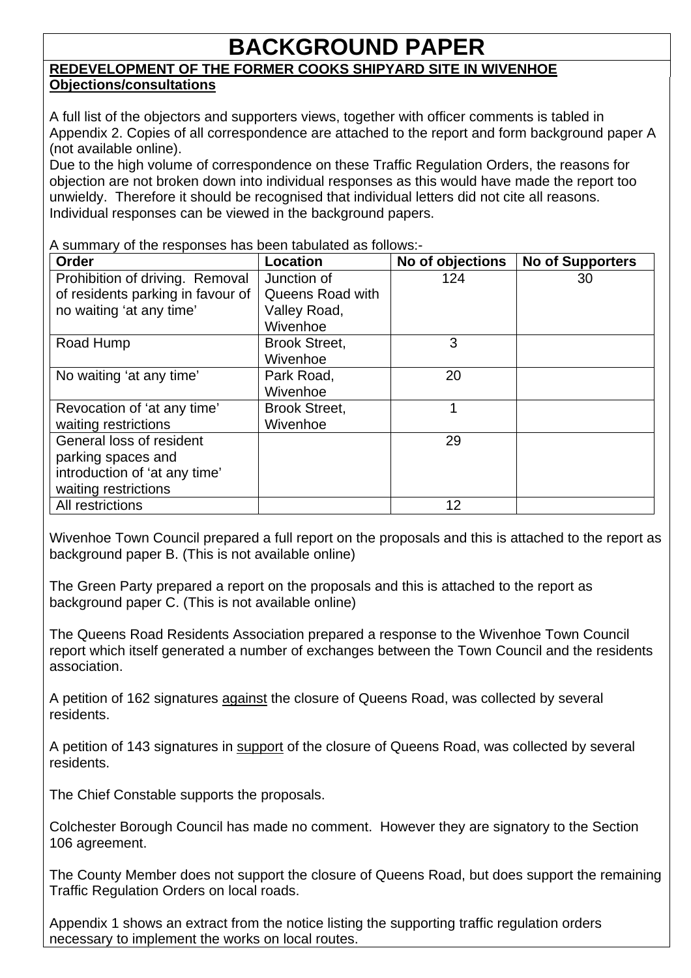## **BACKGROUND PAPER**

### **REDEVELOPMENT OF THE FORMER COOKS SHIPYARD SITE IN WIVENHOE Objections/consultations**

A full list of the objectors and supporters views, together with officer comments is tabled in Appendix 2. Copies of all correspondence are attached to the report and form background paper A (not available online).

Due to the high volume of correspondence on these Traffic Regulation Orders, the reasons for objection are not broken down into individual responses as this would have made the report too unwieldy. Therefore it should be recognised that individual letters did not cite all reasons. Individual responses can be viewed in the background papers.

A summary of the responses has been tabulated as follows:-

| Order                             | Location             | No of objections | <b>No of Supporters</b> |
|-----------------------------------|----------------------|------------------|-------------------------|
| Prohibition of driving. Removal   | Junction of          | 124              | 30                      |
| of residents parking in favour of | Queens Road with     |                  |                         |
| no waiting 'at any time'          | Valley Road,         |                  |                         |
|                                   | Wivenhoe             |                  |                         |
| Road Hump                         | <b>Brook Street,</b> | 3                |                         |
|                                   | Wivenhoe             |                  |                         |
| No waiting 'at any time'          | Park Road,           | 20               |                         |
|                                   | Wivenhoe             |                  |                         |
| Revocation of 'at any time'       | <b>Brook Street,</b> |                  |                         |
| waiting restrictions              | Wivenhoe             |                  |                         |
| General loss of resident          |                      | 29               |                         |
| parking spaces and                |                      |                  |                         |
| introduction of 'at any time'     |                      |                  |                         |
| waiting restrictions              |                      |                  |                         |
| All restrictions                  |                      | 12               |                         |

Wivenhoe Town Council prepared a full report on the proposals and this is attached to the report as background paper B. (This is not available online)

The Green Party prepared a report on the proposals and this is attached to the report as background paper C. (This is not available online)

The Queens Road Residents Association prepared a response to the Wivenhoe Town Council report which itself generated a number of exchanges between the Town Council and the residents association.

A petition of 162 signatures against the closure of Queens Road, was collected by several residents.

A petition of 143 signatures in support of the closure of Queens Road, was collected by several residents.

The Chief Constable supports the proposals.

Colchester Borough Council has made no comment. However they are signatory to the Section 106 agreement.

The County Member does not support the closure of Queens Road, but does support the remaining Traffic Regulation Orders on local roads.

Appendix 1 shows an extract from the notice listing the supporting traffic regulation orders necessary to implement the works on local routes.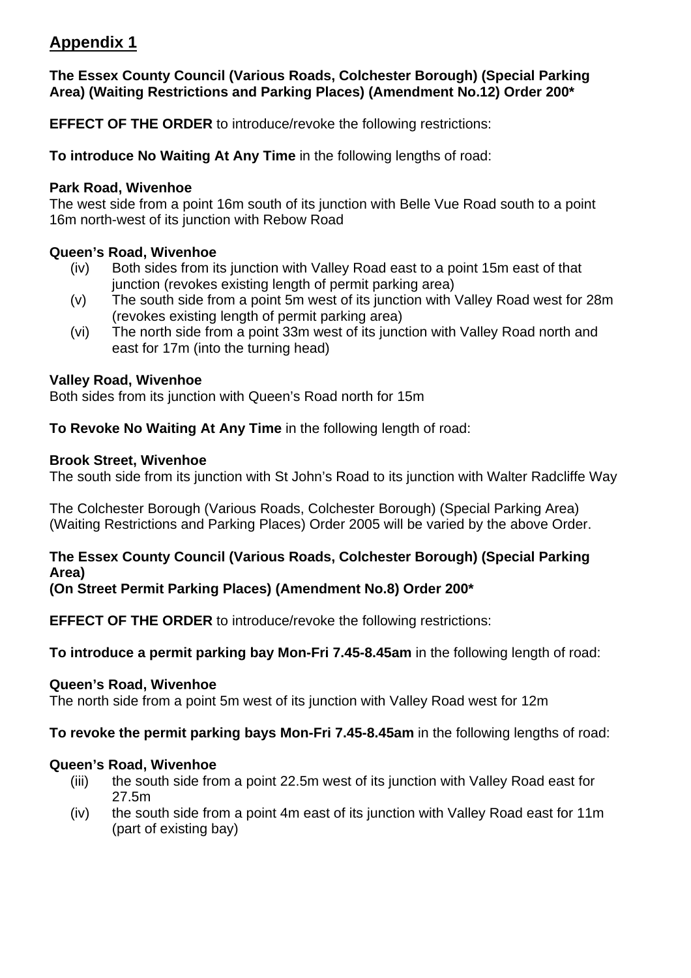### **Appendix 1**

### **The Essex County Council (Various Roads, Colchester Borough) (Special Parking Area) (Waiting Restrictions and Parking Places) (Amendment No.12) Order 200\***

**EFFECT OF THE ORDER** to introduce/revoke the following restrictions:

**To introduce No Waiting At Any Time** in the following lengths of road:

### **Park Road, Wivenhoe**

The west side from a point 16m south of its junction with Belle Vue Road south to a point 16m north-west of its junction with Rebow Road

### **Queen's Road, Wivenhoe**

- (iv) Both sides from its junction with Valley Road east to a point 15m east of that junction (revokes existing length of permit parking area)
- (v) The south side from a point 5m west of its junction with Valley Road west for 28m (revokes existing length of permit parking area)
- (vi) The north side from a point 33m west of its junction with Valley Road north and east for 17m (into the turning head)

### **Valley Road, Wivenhoe**

Both sides from its junction with Queen's Road north for 15m

**To Revoke No Waiting At Any Time** in the following length of road:

### **Brook Street, Wivenhoe**

The south side from its junction with St John's Road to its junction with Walter Radcliffe Way

The Colchester Borough (Various Roads, Colchester Borough) (Special Parking Area) (Waiting Restrictions and Parking Places) Order 2005 will be varied by the above Order.

### **The Essex County Council (Various Roads, Colchester Borough) (Special Parking Area)**

**(On Street Permit Parking Places) (Amendment No.8) Order 200\*** 

**EFFECT OF THE ORDER** to introduce/revoke the following restrictions:

**To introduce a permit parking bay Mon-Fri 7.45-8.45am** in the following length of road:

### **Queen's Road, Wivenhoe**

The north side from a point 5m west of its junction with Valley Road west for 12m

### **To revoke the permit parking bays Mon-Fri 7.45-8.45am** in the following lengths of road:

### **Queen's Road, Wivenhoe**

- (iii) the south side from a point 22.5m west of its junction with Valley Road east for 27.5m
- (iv) the south side from a point 4m east of its junction with Valley Road east for 11m (part of existing bay)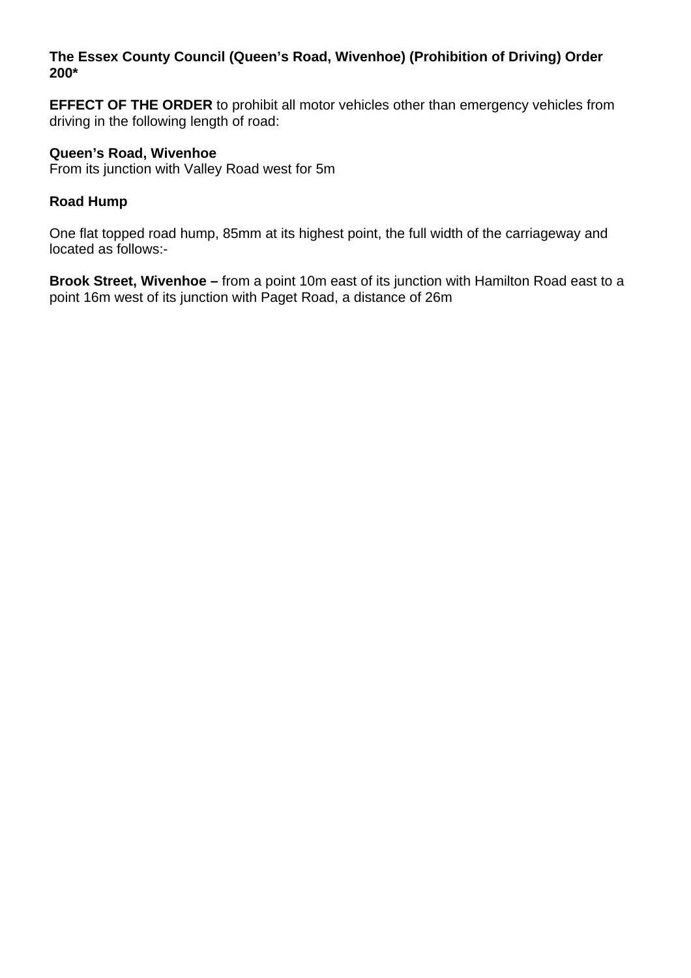### **The Essex County Council (Queen's Road, Wivenhoe) (Prohibition of Driving) Order 200\***

**EFFECT OF THE ORDER** to prohibit all motor vehicles other than emergency vehicles from driving in the following length of road:

### **Queen's Road, Wivenhoe**

From its junction with Valley Road west for 5m

### **Road Hump**

One flat topped road hump, 85mm at its highest point, the full width of the carriageway and located as follows:-

**Brook Street, Wivenhoe –** from a point 10m east of its junction with Hamilton Road east to a point 16m west of its junction with Paget Road, a distance of 26m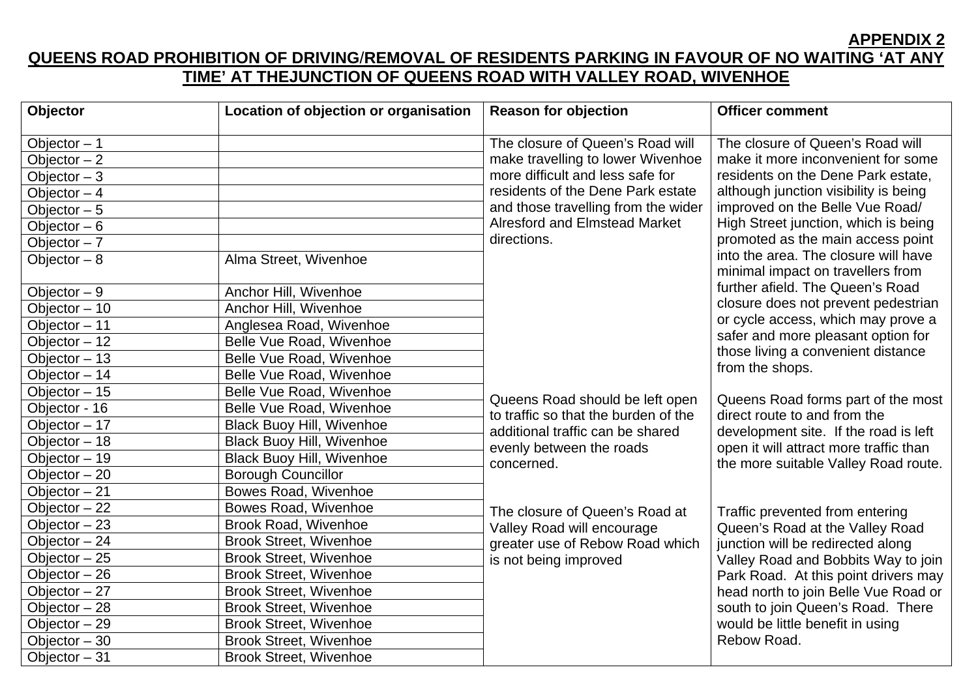**APPENDIX 2** 

### **QUEENS ROAD PROHIBITION OF DRIVING**/**REMOVAL OF RESIDENTS PARKING IN FAVOUR OF NO WAITING 'AT ANY TIME' AT THEJUNCTION OF QUEENS ROAD WITH VALLEY ROAD, WIVENHOE**

| Objector                   | Location of objection or organisation | <b>Reason for objection</b>          | <b>Officer comment</b>                                                    |
|----------------------------|---------------------------------------|--------------------------------------|---------------------------------------------------------------------------|
| Objector $-1$              |                                       | The closure of Queen's Road will     | The closure of Queen's Road will                                          |
| Objector $-2$              |                                       | make travelling to lower Wivenhoe    | make it more inconvenient for some                                        |
| Objector $-3$              |                                       | more difficult and less safe for     | residents on the Dene Park estate,                                        |
| Objector $-4$              |                                       | residents of the Dene Park estate    | although junction visibility is being                                     |
| Objector $-5$              |                                       | and those travelling from the wider  | improved on the Belle Vue Road/                                           |
| Objector $-6$              |                                       | <b>Alresford and Elmstead Market</b> | High Street junction, which is being                                      |
| Objector $-7$              |                                       | directions.                          | promoted as the main access point                                         |
| Objector $-8$              | Alma Street, Wivenhoe                 |                                      | into the area. The closure will have<br>minimal impact on travellers from |
| Objector $-9$              | Anchor Hill, Wivenhoe                 |                                      | further afield. The Queen's Road                                          |
| Objector $-10$             | Anchor Hill, Wivenhoe                 |                                      | closure does not prevent pedestrian                                       |
| Objector - 11              | Anglesea Road, Wivenhoe               |                                      | or cycle access, which may prove a                                        |
| Objector $-12$             | Belle Vue Road, Wivenhoe              |                                      | safer and more pleasant option for                                        |
| Objector $-13$             | Belle Vue Road, Wivenhoe              |                                      | those living a convenient distance                                        |
| Objector - 14              | Belle Vue Road, Wivenhoe              |                                      | from the shops.                                                           |
| Objector $-15$             | Belle Vue Road, Wivenhoe              | Queens Road should be left open      | Queens Road forms part of the most                                        |
| Objector - 16              | Belle Vue Road, Wivenhoe              | to traffic so that the burden of the | direct route to and from the                                              |
| Objector $-17$             | <b>Black Buoy Hill, Wivenhoe</b>      | additional traffic can be shared     | development site. If the road is left                                     |
| Objector - 18              | <b>Black Buoy Hill, Wivenhoe</b>      | evenly between the roads             | open it will attract more traffic than                                    |
| $\overline{Objector} - 19$ | <b>Black Buoy Hill, Wivenhoe</b>      | concerned.                           | the more suitable Valley Road route.                                      |
| Objector $-20$             | <b>Borough Councillor</b>             |                                      |                                                                           |
| Objector $-21$             | <b>Bowes Road, Wivenhoe</b>           |                                      |                                                                           |
| Objector $-22$             | Bowes Road, Wivenhoe                  | The closure of Queen's Road at       | Traffic prevented from entering                                           |
| Objector $-23$             | <b>Brook Road, Wivenhoe</b>           | Valley Road will encourage           | Queen's Road at the Valley Road                                           |
| Objector $-24$             | <b>Brook Street, Wivenhoe</b>         | greater use of Rebow Road which      | junction will be redirected along                                         |
| Objector $-25$             | <b>Brook Street, Wivenhoe</b>         | is not being improved                | Valley Road and Bobbits Way to join                                       |
| Objector $-26$             | <b>Brook Street, Wivenhoe</b>         |                                      | Park Road. At this point drivers may                                      |
| Objector $-27$             | <b>Brook Street, Wivenhoe</b>         |                                      | head north to join Belle Vue Road or                                      |
| Objector $-28$             | <b>Brook Street, Wivenhoe</b>         |                                      | south to join Queen's Road. There                                         |
| Objector - 29              | <b>Brook Street, Wivenhoe</b>         |                                      | would be little benefit in using                                          |
| Objector $-30$             | <b>Brook Street, Wivenhoe</b>         |                                      | Rebow Road.                                                               |
| Objector $-31$             | <b>Brook Street, Wivenhoe</b>         |                                      |                                                                           |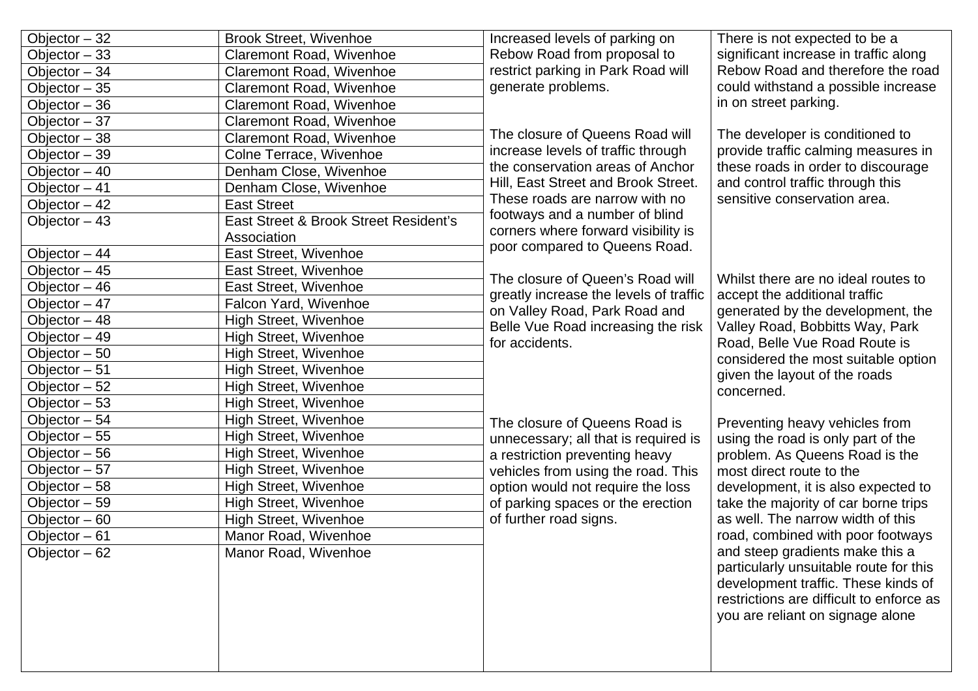| Objector $-32$ | <b>Brook Street, Wivenhoe</b>         | Increased levels of parking on         | There is not expected to be a                                                                                                                                                 |
|----------------|---------------------------------------|----------------------------------------|-------------------------------------------------------------------------------------------------------------------------------------------------------------------------------|
| Objector $-33$ | Claremont Road, Wivenhoe              | Rebow Road from proposal to            | significant increase in traffic along                                                                                                                                         |
| Objector - 34  | <b>Claremont Road, Wivenhoe</b>       | restrict parking in Park Road will     | Rebow Road and therefore the road                                                                                                                                             |
| Objector $-35$ | <b>Claremont Road, Wivenhoe</b>       | generate problems.                     | could withstand a possible increase                                                                                                                                           |
| Objector $-36$ | <b>Claremont Road, Wivenhoe</b>       |                                        | in on street parking.                                                                                                                                                         |
| Objector $-37$ | <b>Claremont Road, Wivenhoe</b>       |                                        |                                                                                                                                                                               |
| Objector $-38$ | Claremont Road, Wivenhoe              | The closure of Queens Road will        | The developer is conditioned to                                                                                                                                               |
| Objector - 39  | Colne Terrace, Wivenhoe               | increase levels of traffic through     | provide traffic calming measures in                                                                                                                                           |
| Objector $-40$ | Denham Close, Wivenhoe                | the conservation areas of Anchor       | these roads in order to discourage                                                                                                                                            |
| Objector - 41  | Denham Close, Wivenhoe                | Hill, East Street and Brook Street.    | and control traffic through this                                                                                                                                              |
| Objector $-42$ | <b>East Street</b>                    | These roads are narrow with no         | sensitive conservation area.                                                                                                                                                  |
| Objector $-43$ | East Street & Brook Street Resident's | footways and a number of blind         |                                                                                                                                                                               |
|                | Association                           | corners where forward visibility is    |                                                                                                                                                                               |
| Objector $-44$ | East Street, Wivenhoe                 | poor compared to Queens Road.          |                                                                                                                                                                               |
| Objector $-45$ | East Street, Wivenhoe                 | The closure of Queen's Road will       | Whilst there are no ideal routes to                                                                                                                                           |
| Objector - 46  | East Street, Wivenhoe                 | greatly increase the levels of traffic |                                                                                                                                                                               |
| Objector $-47$ | Falcon Yard, Wivenhoe                 | on Valley Road, Park Road and          | accept the additional traffic<br>generated by the development, the<br>Valley Road, Bobbitts Way, Park<br>Road, Belle Vue Road Route is<br>considered the most suitable option |
| Objector $-48$ | <b>High Street, Wivenhoe</b>          | Belle Vue Road increasing the risk     |                                                                                                                                                                               |
| Objector - 49  | <b>High Street, Wivenhoe</b>          | for accidents.                         |                                                                                                                                                                               |
| Objector $-50$ | High Street, Wivenhoe                 |                                        |                                                                                                                                                                               |
| Objector - 51  | <b>High Street, Wivenhoe</b>          |                                        | given the layout of the roads                                                                                                                                                 |
| Objector $-52$ | <b>High Street, Wivenhoe</b>          |                                        | concerned.                                                                                                                                                                    |
| Objector $-53$ | <b>High Street, Wivenhoe</b>          |                                        |                                                                                                                                                                               |
| Objector - 54  | <b>High Street, Wivenhoe</b>          | The closure of Queens Road is          | Preventing heavy vehicles from                                                                                                                                                |
| Objector $-55$ | High Street, Wivenhoe                 | unnecessary; all that is required is   | using the road is only part of the                                                                                                                                            |
| Objector $-56$ | <b>High Street, Wivenhoe</b>          | a restriction preventing heavy         | problem. As Queens Road is the                                                                                                                                                |
| Objector $-57$ | <b>High Street, Wivenhoe</b>          | vehicles from using the road. This     | most direct route to the                                                                                                                                                      |
| Objector $-58$ | <b>High Street, Wivenhoe</b>          | option would not require the loss      | development, it is also expected to                                                                                                                                           |
| Objector - 59  | <b>High Street, Wivenhoe</b>          | of parking spaces or the erection      | take the majority of car borne trips                                                                                                                                          |
| Objector $-60$ | High Street, Wivenhoe                 | of further road signs.                 | as well. The narrow width of this                                                                                                                                             |
| Objector - 61  | Manor Road, Wivenhoe                  |                                        | road, combined with poor footways                                                                                                                                             |
| Objector $-62$ | Manor Road, Wivenhoe                  |                                        | and steep gradients make this a                                                                                                                                               |
|                |                                       |                                        | particularly unsuitable route for this                                                                                                                                        |
|                |                                       |                                        | development traffic. These kinds of                                                                                                                                           |
|                |                                       |                                        | restrictions are difficult to enforce as                                                                                                                                      |
|                |                                       |                                        | you are reliant on signage alone                                                                                                                                              |
|                |                                       |                                        |                                                                                                                                                                               |
|                |                                       |                                        |                                                                                                                                                                               |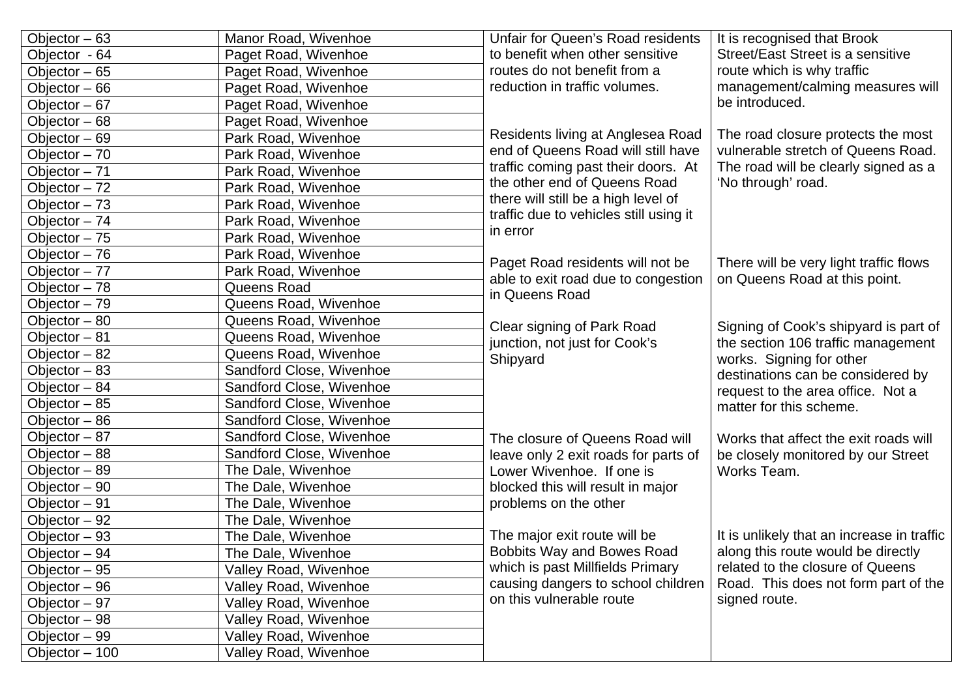| Objector $-63$ | Manor Road, Wivenhoe     | Unfair for Queen's Road residents                                       | It is recognised that Brook                                             |
|----------------|--------------------------|-------------------------------------------------------------------------|-------------------------------------------------------------------------|
| Objector - 64  | Paget Road, Wivenhoe     | to benefit when other sensitive                                         | Street/East Street is a sensitive                                       |
| Objector - 65  | Paget Road, Wivenhoe     | routes do not benefit from a                                            | route which is why traffic                                              |
| Objector - 66  | Paget Road, Wivenhoe     | reduction in traffic volumes.                                           | management/calming measures will                                        |
| Objector $-67$ | Paget Road, Wivenhoe     |                                                                         | be introduced.                                                          |
| Objector - 68  | Paget Road, Wivenhoe     |                                                                         |                                                                         |
| Objector - 69  | Park Road, Wivenhoe      | Residents living at Anglesea Road                                       | The road closure protects the most                                      |
| Objector - 70  | Park Road, Wivenhoe      | end of Queens Road will still have                                      | vulnerable stretch of Queens Road.                                      |
| Objector - 71  | Park Road, Wivenhoe      | traffic coming past their doors. At                                     | The road will be clearly signed as a                                    |
| Objector $-72$ | Park Road, Wivenhoe      | the other end of Queens Road                                            | 'No through' road.                                                      |
| Objector $-73$ | Park Road, Wivenhoe      | there will still be a high level of                                     |                                                                         |
| Objector - 74  | Park Road, Wivenhoe      | traffic due to vehicles still using it                                  |                                                                         |
| Objector $-75$ | Park Road, Wivenhoe      | in error                                                                |                                                                         |
| Objector - 76  | Park Road, Wivenhoe      |                                                                         |                                                                         |
| Objector $-77$ | Park Road, Wivenhoe      | Paget Road residents will not be<br>able to exit road due to congestion | There will be very light traffic flows<br>on Queens Road at this point. |
| Objector - 78  | Queens Road              | in Queens Road                                                          |                                                                         |
| Objector - 79  | Queens Road, Wivenhoe    |                                                                         |                                                                         |
| Objector - 80  | Queens Road, Wivenhoe    | Clear signing of Park Road                                              | Signing of Cook's shipyard is part of                                   |
| Objector - 81  | Queens Road, Wivenhoe    | junction, not just for Cook's                                           | the section 106 traffic management                                      |
| Objector - 82  | Queens Road, Wivenhoe    | Shipyard                                                                | works. Signing for other                                                |
| Objector $-83$ | Sandford Close, Wivenhoe |                                                                         | destinations can be considered by                                       |
| Objector - 84  | Sandford Close, Wivenhoe |                                                                         | request to the area office. Not a                                       |
| Objector - 85  | Sandford Close, Wivenhoe |                                                                         | matter for this scheme.                                                 |
| Objector - 86  | Sandford Close, Wivenhoe |                                                                         |                                                                         |
| Objector - 87  | Sandford Close, Wivenhoe | The closure of Queens Road will                                         | Works that affect the exit roads will                                   |
| Objector - 88  | Sandford Close, Wivenhoe | leave only 2 exit roads for parts of                                    | be closely monitored by our Street                                      |
| Objector - 89  | The Dale, Wivenhoe       | Lower Wivenhoe. If one is                                               | Works Team.                                                             |
| Objector - 90  | The Dale, Wivenhoe       | blocked this will result in major                                       |                                                                         |
| Objector - 91  | The Dale, Wivenhoe       | problems on the other                                                   |                                                                         |
| Objector - 92  | The Dale, Wivenhoe       |                                                                         |                                                                         |
| Objector - 93  | The Dale, Wivenhoe       | The major exit route will be                                            | It is unlikely that an increase in traffic                              |
| Objector – 94  | The Dale, Wivenhoe       | Bobbits Way and Bowes Road                                              | along this route would be directly                                      |
| Objector $-95$ | Valley Road, Wivenhoe    | which is past Millfields Primary                                        | related to the closure of Queens                                        |
| Objector - 96  | Valley Road, Wivenhoe    | causing dangers to school children                                      | Road. This does not form part of the                                    |
| Objector - 97  | Valley Road, Wivenhoe    | on this vulnerable route                                                | signed route.                                                           |
| Objector - 98  | Valley Road, Wivenhoe    |                                                                         |                                                                         |
| Objector - 99  | Valley Road, Wivenhoe    |                                                                         |                                                                         |
| Objector - 100 | Valley Road, Wivenhoe    |                                                                         |                                                                         |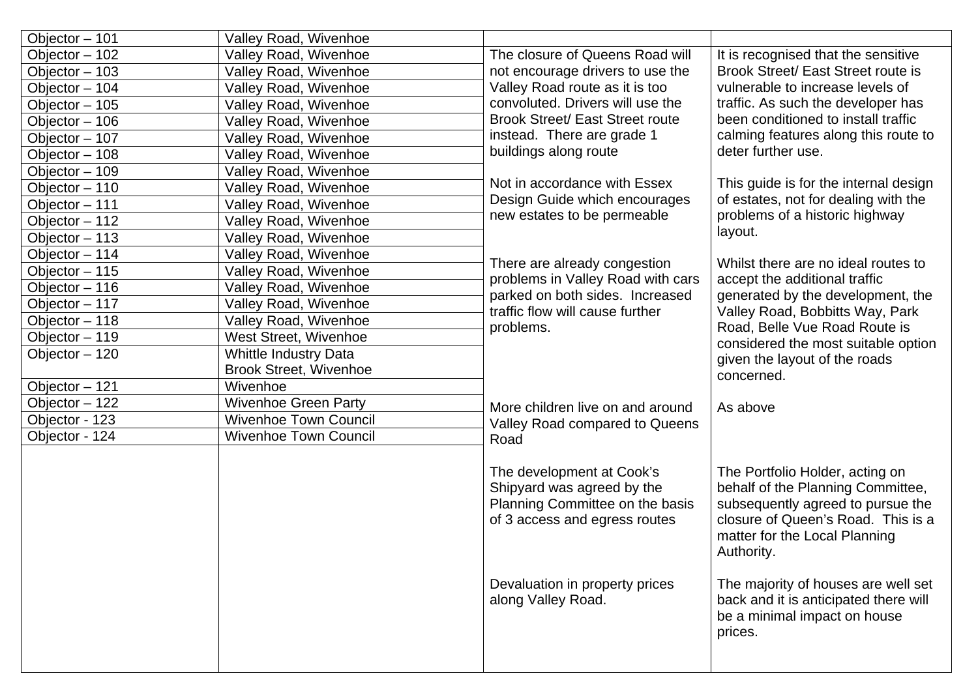| Objector - 101 | <b>Valley Road, Wivenhoe</b>  |                                                                                                                             |                                                                                                                                                                                                |
|----------------|-------------------------------|-----------------------------------------------------------------------------------------------------------------------------|------------------------------------------------------------------------------------------------------------------------------------------------------------------------------------------------|
| Objector - 102 | Valley Road, Wivenhoe         | The closure of Queens Road will                                                                                             | It is recognised that the sensitive                                                                                                                                                            |
| Objector - 103 | Valley Road, Wivenhoe         | not encourage drivers to use the                                                                                            | Brook Street/ East Street route is                                                                                                                                                             |
| Objector - 104 | Valley Road, Wivenhoe         | Valley Road route as it is too                                                                                              | vulnerable to increase levels of                                                                                                                                                               |
| Objector - 105 | <b>Valley Road, Wivenhoe</b>  | convoluted. Drivers will use the                                                                                            | traffic. As such the developer has                                                                                                                                                             |
| Objector - 106 | Valley Road, Wivenhoe         | <b>Brook Street/ East Street route</b>                                                                                      | been conditioned to install traffic                                                                                                                                                            |
| Objector - 107 | Valley Road, Wivenhoe         | instead. There are grade 1                                                                                                  | calming features along this route to                                                                                                                                                           |
| Objector - 108 | Valley Road, Wivenhoe         | buildings along route                                                                                                       | deter further use.                                                                                                                                                                             |
| Objector - 109 | Valley Road, Wivenhoe         |                                                                                                                             |                                                                                                                                                                                                |
| Objector - 110 | Valley Road, Wivenhoe         | Not in accordance with Essex                                                                                                | This guide is for the internal design                                                                                                                                                          |
| Objector - 111 | Valley Road, Wivenhoe         | Design Guide which encourages                                                                                               | of estates, not for dealing with the                                                                                                                                                           |
| Objector - 112 | Valley Road, Wivenhoe         | new estates to be permeable                                                                                                 | problems of a historic highway                                                                                                                                                                 |
| Objector - 113 | Valley Road, Wivenhoe         |                                                                                                                             | layout.                                                                                                                                                                                        |
| Objector - 114 | Valley Road, Wivenhoe         |                                                                                                                             |                                                                                                                                                                                                |
| Objector - 115 | Valley Road, Wivenhoe         | There are already congestion                                                                                                | Whilst there are no ideal routes to                                                                                                                                                            |
| Objector - 116 | Valley Road, Wivenhoe         | problems in Valley Road with cars                                                                                           | accept the additional traffic                                                                                                                                                                  |
| Objector - 117 | Valley Road, Wivenhoe         | parked on both sides. Increased<br>traffic flow will cause further                                                          | generated by the development, the                                                                                                                                                              |
| Objector - 118 | Valley Road, Wivenhoe         | problems.                                                                                                                   | Valley Road, Bobbitts Way, Park<br>Road, Belle Vue Road Route is                                                                                                                               |
| Objector - 119 | <b>West Street, Wivenhoe</b>  |                                                                                                                             | considered the most suitable option                                                                                                                                                            |
| Objector - 120 | <b>Whittle Industry Data</b>  |                                                                                                                             | given the layout of the roads                                                                                                                                                                  |
|                | <b>Brook Street, Wivenhoe</b> |                                                                                                                             | concerned.                                                                                                                                                                                     |
| Objector - 121 | Wivenhoe                      |                                                                                                                             |                                                                                                                                                                                                |
| Objector - 122 | <b>Wivenhoe Green Party</b>   | More children live on and around                                                                                            | As above                                                                                                                                                                                       |
| Objector - 123 | <b>Wivenhoe Town Council</b>  | Valley Road compared to Queens                                                                                              |                                                                                                                                                                                                |
| Objector - 124 | <b>Wivenhoe Town Council</b>  | Road                                                                                                                        |                                                                                                                                                                                                |
|                |                               |                                                                                                                             |                                                                                                                                                                                                |
|                |                               | The development at Cook's<br>Shipyard was agreed by the<br>Planning Committee on the basis<br>of 3 access and egress routes | The Portfolio Holder, acting on<br>behalf of the Planning Committee,<br>subsequently agreed to pursue the<br>closure of Queen's Road. This is a<br>matter for the Local Planning<br>Authority. |
|                |                               | Devaluation in property prices<br>along Valley Road.                                                                        | The majority of houses are well set<br>back and it is anticipated there will<br>be a minimal impact on house<br>prices.                                                                        |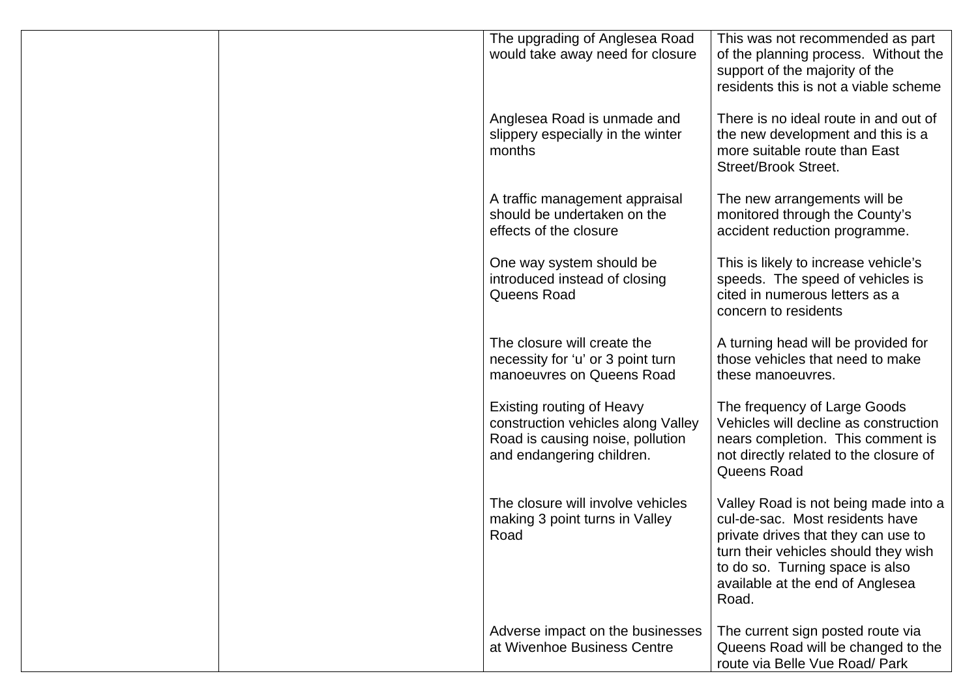| The upgrading of Anglesea Road<br>would take away need for closure                                                                      | This was not recommended as part<br>of the planning process. Without the<br>support of the majority of the<br>residents this is not a viable scheme                                                                                    |
|-----------------------------------------------------------------------------------------------------------------------------------------|----------------------------------------------------------------------------------------------------------------------------------------------------------------------------------------------------------------------------------------|
| Anglesea Road is unmade and<br>slippery especially in the winter<br>months                                                              | There is no ideal route in and out of<br>the new development and this is a<br>more suitable route than East<br><b>Street/Brook Street.</b>                                                                                             |
| A traffic management appraisal<br>should be undertaken on the<br>effects of the closure                                                 | The new arrangements will be<br>monitored through the County's<br>accident reduction programme.                                                                                                                                        |
| One way system should be<br>introduced instead of closing<br>Queens Road                                                                | This is likely to increase vehicle's<br>speeds. The speed of vehicles is<br>cited in numerous letters as a<br>concern to residents                                                                                                     |
| The closure will create the<br>necessity for 'u' or 3 point turn<br>manoeuvres on Queens Road                                           | A turning head will be provided for<br>those vehicles that need to make<br>these manoeuvres.                                                                                                                                           |
| <b>Existing routing of Heavy</b><br>construction vehicles along Valley<br>Road is causing noise, pollution<br>and endangering children. | The frequency of Large Goods<br>Vehicles will decline as construction<br>nears completion. This comment is<br>not directly related to the closure of<br>Queens Road                                                                    |
| The closure will involve vehicles<br>making 3 point turns in Valley<br>Road                                                             | Valley Road is not being made into a<br>cul-de-sac. Most residents have<br>private drives that they can use to<br>turn their vehicles should they wish<br>to do so. Turning space is also<br>available at the end of Anglesea<br>Road. |
| Adverse impact on the businesses<br>at Wivenhoe Business Centre                                                                         | The current sign posted route via<br>Queens Road will be changed to the<br>route via Belle Vue Road/ Park                                                                                                                              |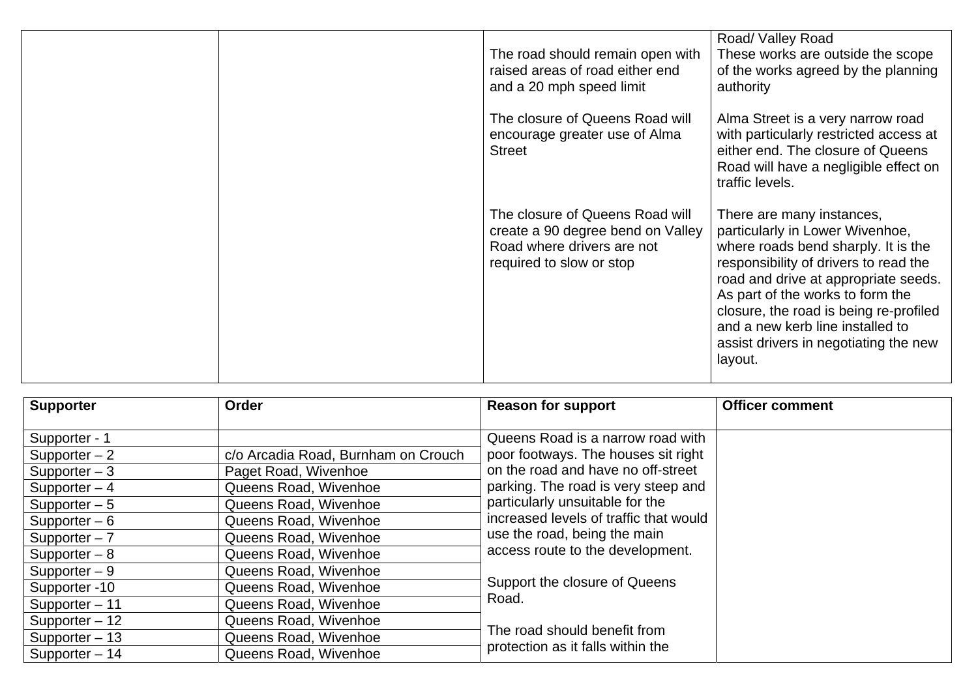|  | The road should remain open with<br>raised areas of road either end<br>and a 20 mph speed limit                                | Road/ Valley Road<br>These works are outside the scope<br>of the works agreed by the planning<br>authority                                                                                                                                                                                                                                                 |
|--|--------------------------------------------------------------------------------------------------------------------------------|------------------------------------------------------------------------------------------------------------------------------------------------------------------------------------------------------------------------------------------------------------------------------------------------------------------------------------------------------------|
|  | The closure of Queens Road will<br>encourage greater use of Alma<br><b>Street</b>                                              | Alma Street is a very narrow road<br>with particularly restricted access at<br>either end. The closure of Queens<br>Road will have a negligible effect on<br>traffic levels.                                                                                                                                                                               |
|  | The closure of Queens Road will<br>create a 90 degree bend on Valley<br>Road where drivers are not<br>required to slow or stop | There are many instances,<br>particularly in Lower Wivenhoe,<br>where roads bend sharply. It is the<br>responsibility of drivers to read the<br>road and drive at appropriate seeds.<br>As part of the works to form the<br>closure, the road is being re-profiled<br>and a new kerb line installed to<br>assist drivers in negotiating the new<br>layout. |

| <b>Supporter</b> | Order                               | <b>Reason for support</b>              | <b>Officer comment</b> |
|------------------|-------------------------------------|----------------------------------------|------------------------|
| Supporter - 1    |                                     | Queens Road is a narrow road with      |                        |
| Supporter $-2$   | c/o Arcadia Road, Burnham on Crouch | poor footways. The houses sit right    |                        |
| Supporter $-3$   | Paget Road, Wivenhoe                | on the road and have no off-street     |                        |
| Supporter $-4$   | Queens Road, Wivenhoe               | parking. The road is very steep and    |                        |
| Supporter $-5$   | Queens Road, Wivenhoe               | particularly unsuitable for the        |                        |
| Supporter $-6$   | Queens Road, Wivenhoe               | increased levels of traffic that would |                        |
| Supporter $-7$   | Queens Road, Wivenhoe               | use the road, being the main           |                        |
| Supporter $-8$   | Queens Road, Wivenhoe               | access route to the development.       |                        |
| Supporter $-9$   | Queens Road, Wivenhoe               |                                        |                        |
| Supporter -10    | Queens Road, Wivenhoe               | Support the closure of Queens          |                        |
| Supporter - 11   | Queens Road, Wivenhoe               | Road.                                  |                        |
| Supporter - 12   | Queens Road, Wivenhoe               |                                        |                        |
| Supporter - 13   | Queens Road, Wivenhoe               | The road should benefit from           |                        |
| Supporter - 14   | Queens Road, Wivenhoe               | protection as it falls within the      |                        |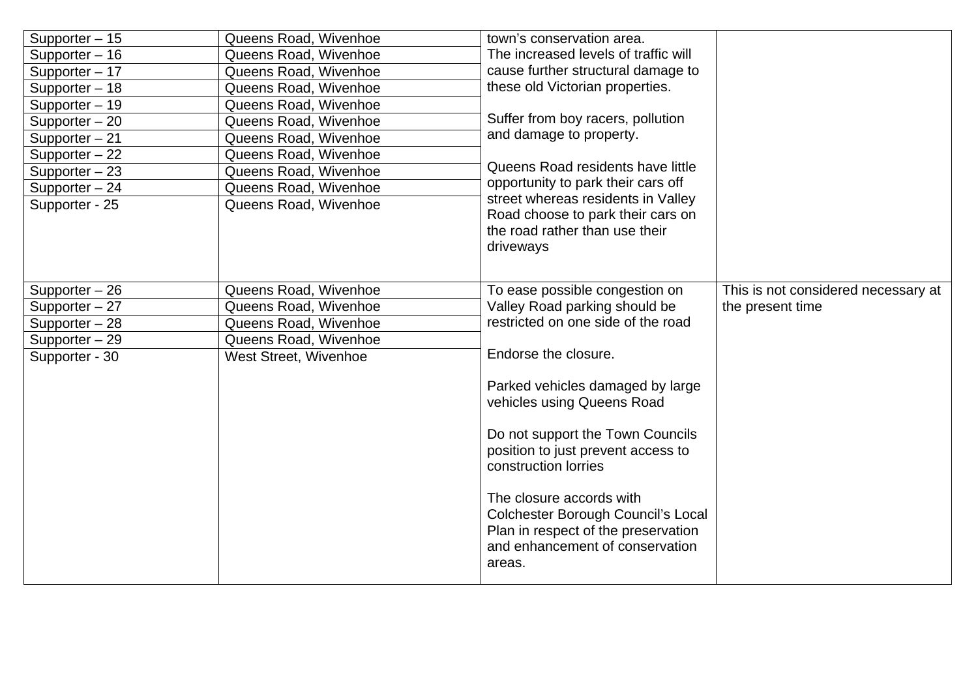| Supporter - 15<br>Supporter - 16<br>Supporter - 17<br>Supporter - 18<br>Supporter - 19<br>Supporter - 20<br>Supporter - 21<br>Supporter - 22<br>Supporter $-23$<br>Supporter - 24<br>Supporter - 25 | Queens Road, Wivenhoe<br>Queens Road, Wivenhoe<br>Queens Road, Wivenhoe<br>Queens Road, Wivenhoe<br>Queens Road, Wivenhoe<br>Queens Road, Wivenhoe<br>Queens Road, Wivenhoe<br>Queens Road, Wivenhoe<br>Queens Road, Wivenhoe<br>Queens Road, Wivenhoe<br>Queens Road, Wivenhoe | town's conservation area.<br>The increased levels of traffic will<br>cause further structural damage to<br>these old Victorian properties.<br>Suffer from boy racers, pollution<br>and damage to property.<br>Queens Road residents have little<br>opportunity to park their cars off<br>street whereas residents in Valley<br>Road choose to park their cars on<br>the road rather than use their<br>driveways |                                                         |
|-----------------------------------------------------------------------------------------------------------------------------------------------------------------------------------------------------|---------------------------------------------------------------------------------------------------------------------------------------------------------------------------------------------------------------------------------------------------------------------------------|-----------------------------------------------------------------------------------------------------------------------------------------------------------------------------------------------------------------------------------------------------------------------------------------------------------------------------------------------------------------------------------------------------------------|---------------------------------------------------------|
| Supporter - 26<br>Supporter - 27                                                                                                                                                                    | Queens Road, Wivenhoe<br>Queens Road, Wivenhoe                                                                                                                                                                                                                                  | To ease possible congestion on<br>Valley Road parking should be                                                                                                                                                                                                                                                                                                                                                 | This is not considered necessary at<br>the present time |
| Supporter - 28                                                                                                                                                                                      | Queens Road, Wivenhoe                                                                                                                                                                                                                                                           | restricted on one side of the road                                                                                                                                                                                                                                                                                                                                                                              |                                                         |
| Supporter - 29                                                                                                                                                                                      | Queens Road, Wivenhoe                                                                                                                                                                                                                                                           |                                                                                                                                                                                                                                                                                                                                                                                                                 |                                                         |
| Supporter - 30                                                                                                                                                                                      | West Street, Wivenhoe                                                                                                                                                                                                                                                           | Endorse the closure.                                                                                                                                                                                                                                                                                                                                                                                            |                                                         |
|                                                                                                                                                                                                     |                                                                                                                                                                                                                                                                                 | Parked vehicles damaged by large<br>vehicles using Queens Road<br>Do not support the Town Councils<br>position to just prevent access to<br>construction lorries<br>The closure accords with<br><b>Colchester Borough Council's Local</b><br>Plan in respect of the preservation<br>and enhancement of conservation<br>areas.                                                                                   |                                                         |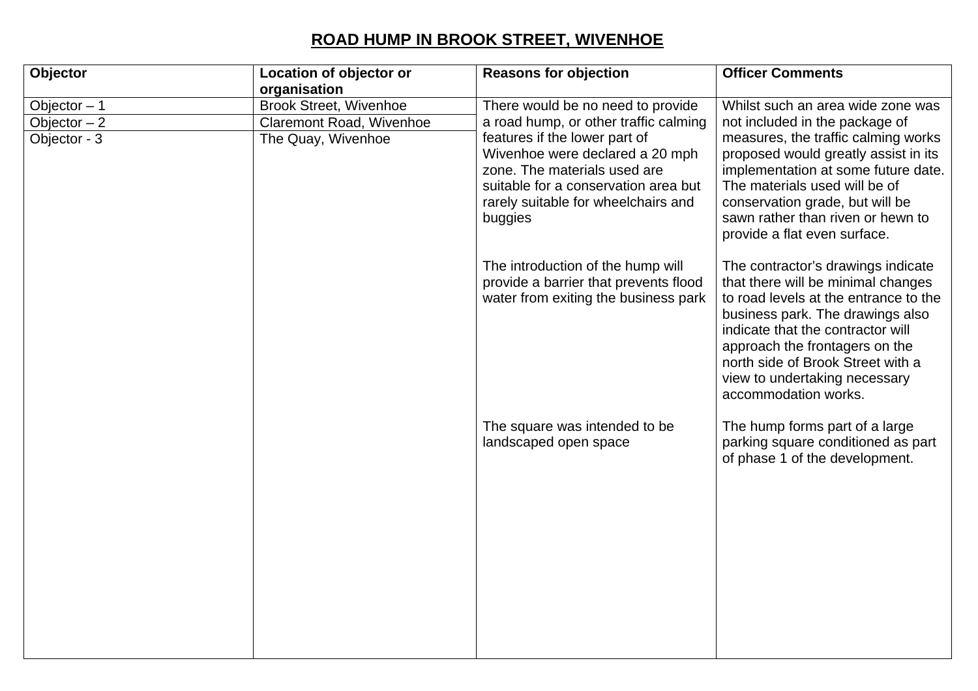### **ROAD HUMP IN BROOK STREET, WIVENHOE**

| Objector      | Location of objector or       | <b>Reasons for objection</b>                                                                                                                                                               | <b>Officer Comments</b>                                                                                                                                                                                                                                                                                                    |
|---------------|-------------------------------|--------------------------------------------------------------------------------------------------------------------------------------------------------------------------------------------|----------------------------------------------------------------------------------------------------------------------------------------------------------------------------------------------------------------------------------------------------------------------------------------------------------------------------|
|               | organisation                  |                                                                                                                                                                                            |                                                                                                                                                                                                                                                                                                                            |
| Objector $-1$ | <b>Brook Street, Wivenhoe</b> | There would be no need to provide                                                                                                                                                          | Whilst such an area wide zone was                                                                                                                                                                                                                                                                                          |
| Objector $-2$ | Claremont Road, Wivenhoe      | a road hump, or other traffic calming                                                                                                                                                      | not included in the package of                                                                                                                                                                                                                                                                                             |
| Objector - 3  | The Quay, Wivenhoe            | features if the lower part of<br>Wivenhoe were declared a 20 mph<br>zone. The materials used are<br>suitable for a conservation area but<br>rarely suitable for wheelchairs and<br>buggies | measures, the traffic calming works<br>proposed would greatly assist in its<br>implementation at some future date.<br>The materials used will be of<br>conservation grade, but will be<br>sawn rather than riven or hewn to<br>provide a flat even surface.                                                                |
|               |                               | The introduction of the hump will<br>provide a barrier that prevents flood<br>water from exiting the business park                                                                         | The contractor's drawings indicate<br>that there will be minimal changes<br>to road levels at the entrance to the<br>business park. The drawings also<br>indicate that the contractor will<br>approach the frontagers on the<br>north side of Brook Street with a<br>view to undertaking necessary<br>accommodation works. |
|               |                               | The square was intended to be<br>landscaped open space                                                                                                                                     | The hump forms part of a large<br>parking square conditioned as part<br>of phase 1 of the development.                                                                                                                                                                                                                     |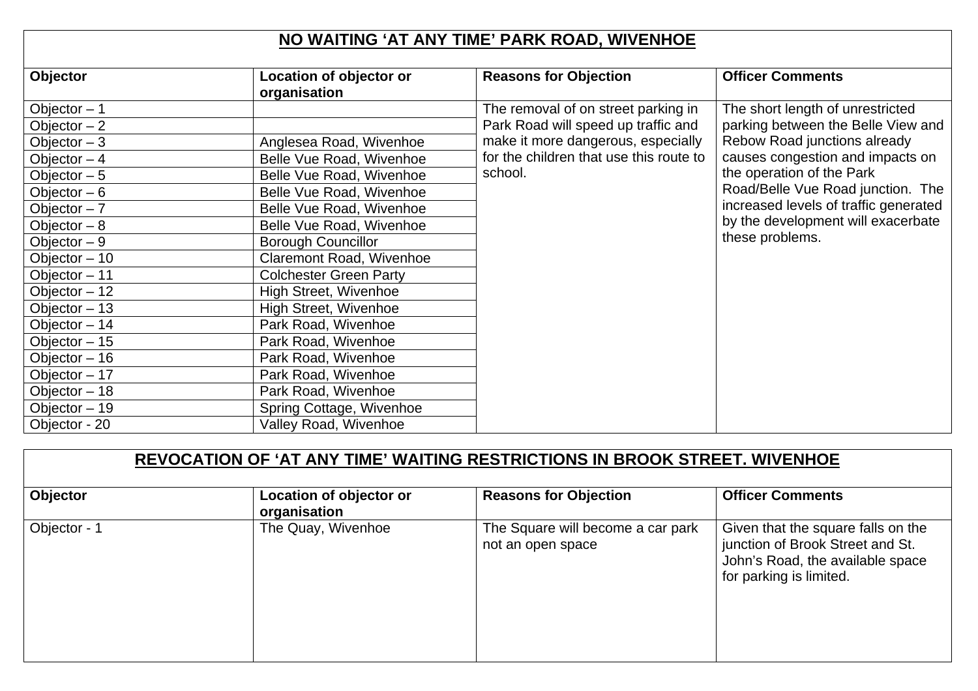### **NO WAITING 'AT ANY TIME' PARK ROAD, WIVENHOE**

| Objector       | Location of objector or       | <b>Reasons for Objection</b>            | <b>Officer Comments</b>               |
|----------------|-------------------------------|-----------------------------------------|---------------------------------------|
|                | organisation                  |                                         |                                       |
| Objector $-1$  |                               | The removal of on street parking in     | The short length of unrestricted      |
| Objector $-2$  |                               | Park Road will speed up traffic and     | parking between the Belle View and    |
| Objector $-3$  | Anglesea Road, Wivenhoe       | make it more dangerous, especially      | Rebow Road junctions already          |
| Objector $-4$  | Belle Vue Road, Wivenhoe      | for the children that use this route to | causes congestion and impacts on      |
| Objector $-5$  | Belle Vue Road, Wivenhoe      | school.                                 | the operation of the Park             |
| Objector $-6$  | Belle Vue Road, Wivenhoe      |                                         | Road/Belle Vue Road junction. The     |
| Objector $-7$  | Belle Vue Road, Wivenhoe      |                                         | increased levels of traffic generated |
| Objector $-8$  | Belle Vue Road, Wivenhoe      |                                         | by the development will exacerbate    |
| Objector $-9$  | <b>Borough Councillor</b>     |                                         | these problems.                       |
| Objector $-10$ | Claremont Road, Wivenhoe      |                                         |                                       |
| Objector - 11  | <b>Colchester Green Party</b> |                                         |                                       |
| Objector $-12$ | <b>High Street, Wivenhoe</b>  |                                         |                                       |
| Objector $-13$ | High Street, Wivenhoe         |                                         |                                       |
| Objector $-14$ | Park Road, Wivenhoe           |                                         |                                       |
| Objector $-15$ | Park Road, Wivenhoe           |                                         |                                       |
| Objector $-16$ | Park Road, Wivenhoe           |                                         |                                       |
| Objector $-17$ | Park Road, Wivenhoe           |                                         |                                       |
| Objector - 18  | Park Road, Wivenhoe           |                                         |                                       |
| Objector $-19$ | Spring Cottage, Wivenhoe      |                                         |                                       |
| Objector - 20  | Valley Road, Wivenhoe         |                                         |                                       |

| REVOCATION OF 'AT ANY TIME' WAITING RESTRICTIONS IN BROOK STREET. WIVENHOE |                                                |                                                        |                                                                                                                                       |  |
|----------------------------------------------------------------------------|------------------------------------------------|--------------------------------------------------------|---------------------------------------------------------------------------------------------------------------------------------------|--|
| Objector                                                                   | <b>Location of objector or</b><br>organisation | <b>Reasons for Objection</b>                           | <b>Officer Comments</b>                                                                                                               |  |
| Objector - 1                                                               | The Quay, Wivenhoe                             | The Square will become a car park<br>not an open space | Given that the square falls on the<br>junction of Brook Street and St.<br>John's Road, the available space<br>for parking is limited. |  |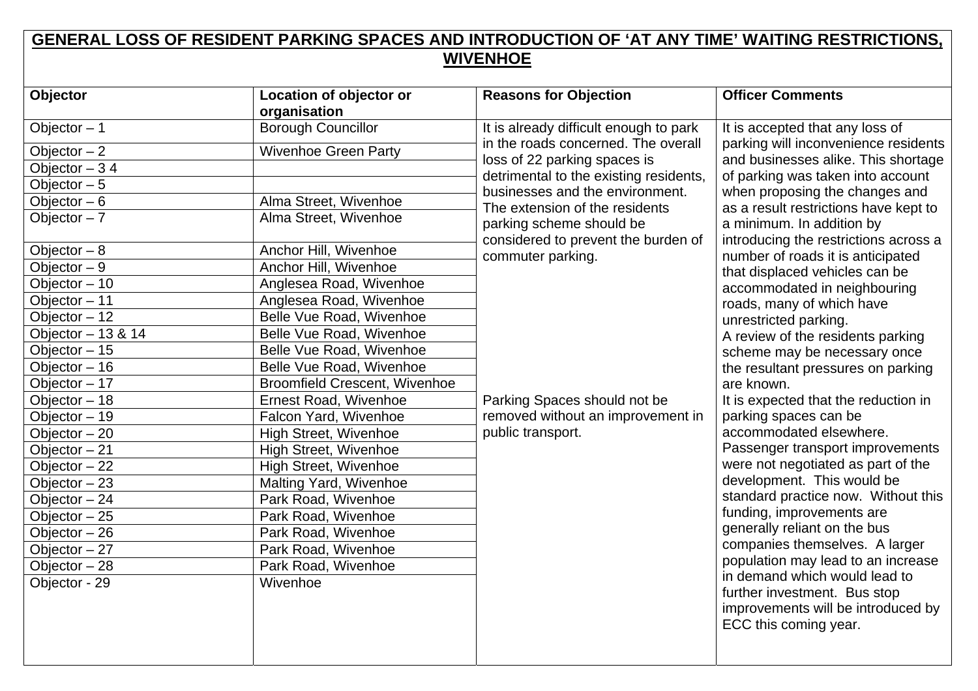### **GENERAL LOSS OF RESIDENT PARKING SPACES AND INTRODUCTION OF 'AT ANY TIME' WAITING RESTRICTIONS, WIVENHOE**

| Objector           | Location of objector or              | <b>Reasons for Objection</b>                                              | <b>Officer Comments</b>                                                                                                      |
|--------------------|--------------------------------------|---------------------------------------------------------------------------|------------------------------------------------------------------------------------------------------------------------------|
|                    | organisation                         |                                                                           |                                                                                                                              |
| Objector $-1$      | <b>Borough Councillor</b>            | It is already difficult enough to park                                    | It is accepted that any loss of                                                                                              |
| Objector $-2$      | Wivenhoe Green Party                 | in the roads concerned. The overall                                       | parking will inconvenience residents                                                                                         |
| Objector $-34$     |                                      | loss of 22 parking spaces is                                              | and businesses alike. This shortage                                                                                          |
| Objector $-5$      |                                      | detrimental to the existing residents,<br>businesses and the environment. | of parking was taken into account                                                                                            |
| Objector $-6$      | Alma Street, Wivenhoe                | The extension of the residents                                            | when proposing the changes and<br>as a result restrictions have kept to                                                      |
| Objector $-7$      | Alma Street, Wivenhoe                | parking scheme should be                                                  | a minimum. In addition by                                                                                                    |
| Objector $-8$      | Anchor Hill, Wivenhoe                | considered to prevent the burden of<br>commuter parking.                  | introducing the restrictions across a<br>number of roads it is anticipated                                                   |
| Objector $-9$      | Anchor Hill, Wivenhoe                |                                                                           | that displaced vehicles can be                                                                                               |
| Objector $-10$     | Anglesea Road, Wivenhoe              |                                                                           | accommodated in neighbouring                                                                                                 |
| Objector - 11      | Anglesea Road, Wivenhoe              |                                                                           | roads, many of which have                                                                                                    |
| Objector $-12$     | Belle Vue Road, Wivenhoe             |                                                                           | unrestricted parking.                                                                                                        |
| Objector - 13 & 14 | Belle Vue Road, Wivenhoe             |                                                                           | A review of the residents parking                                                                                            |
| Objector $-15$     | Belle Vue Road, Wivenhoe             |                                                                           | scheme may be necessary once                                                                                                 |
| Objector $-16$     | Belle Vue Road, Wivenhoe             |                                                                           | the resultant pressures on parking                                                                                           |
| Objector $-17$     | <b>Broomfield Crescent, Wivenhoe</b> |                                                                           | are known.                                                                                                                   |
| Objector - 18      | Ernest Road, Wivenhoe                | Parking Spaces should not be                                              | It is expected that the reduction in                                                                                         |
| Objector - 19      | Falcon Yard, Wivenhoe                | removed without an improvement in                                         | parking spaces can be                                                                                                        |
| Objector $-20$     | <b>High Street, Wivenhoe</b>         | public transport.                                                         | accommodated elsewhere.                                                                                                      |
| Objector - 21      | <b>High Street, Wivenhoe</b>         |                                                                           | Passenger transport improvements                                                                                             |
| Objector $-22$     | High Street, Wivenhoe                |                                                                           | were not negotiated as part of the                                                                                           |
| Objector $-23$     | Malting Yard, Wivenhoe               |                                                                           | development. This would be                                                                                                   |
| Objector $-24$     | Park Road, Wivenhoe                  |                                                                           | standard practice now. Without this                                                                                          |
| Objector $-25$     | Park Road, Wivenhoe                  |                                                                           | funding, improvements are                                                                                                    |
| Objector $-26$     | Park Road, Wivenhoe                  |                                                                           | generally reliant on the bus                                                                                                 |
| Objector $-27$     | Park Road, Wivenhoe                  |                                                                           | companies themselves. A larger                                                                                               |
| Objector $-28$     | Park Road, Wivenhoe                  |                                                                           | population may lead to an increase                                                                                           |
| Objector - 29      | Wivenhoe                             |                                                                           | in demand which would lead to<br>further investment. Bus stop<br>improvements will be introduced by<br>ECC this coming year. |
|                    |                                      |                                                                           |                                                                                                                              |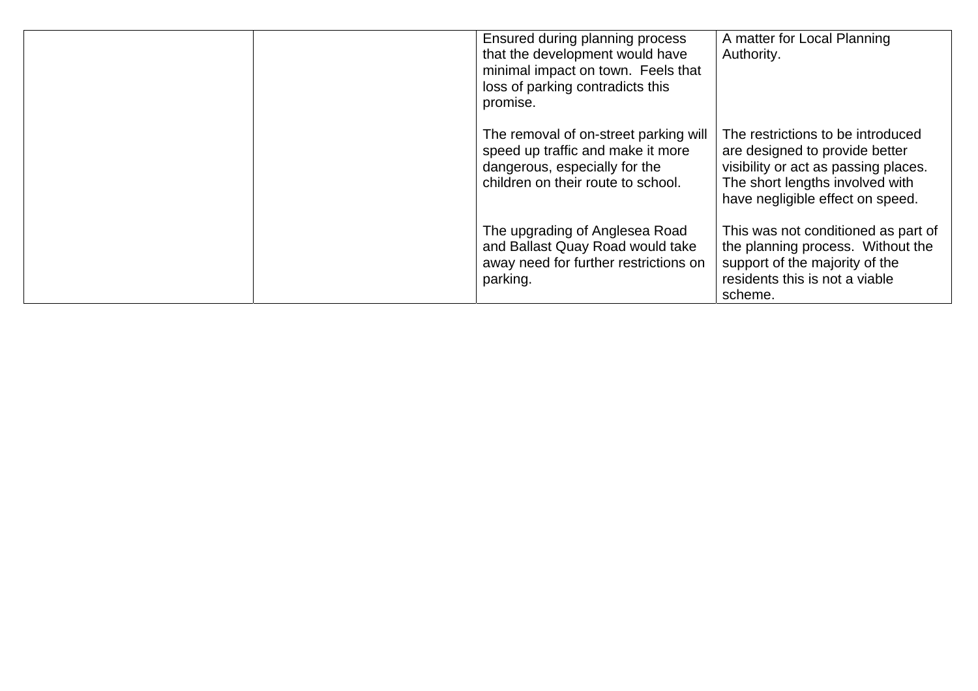| Ensured during planning process<br>that the development would have<br>minimal impact on town. Feels that<br>loss of parking contradicts this<br>promise. | A matter for Local Planning<br>Authority.                                                                                                                                          |
|----------------------------------------------------------------------------------------------------------------------------------------------------------|------------------------------------------------------------------------------------------------------------------------------------------------------------------------------------|
| The removal of on-street parking will<br>speed up traffic and make it more<br>dangerous, especially for the<br>children on their route to school.        | The restrictions to be introduced<br>are designed to provide better<br>visibility or act as passing places.<br>The short lengths involved with<br>have negligible effect on speed. |
| The upgrading of Anglesea Road<br>and Ballast Quay Road would take<br>away need for further restrictions on<br>parking.                                  | This was not conditioned as part of<br>the planning process. Without the<br>support of the majority of the<br>residents this is not a viable<br>scheme.                            |